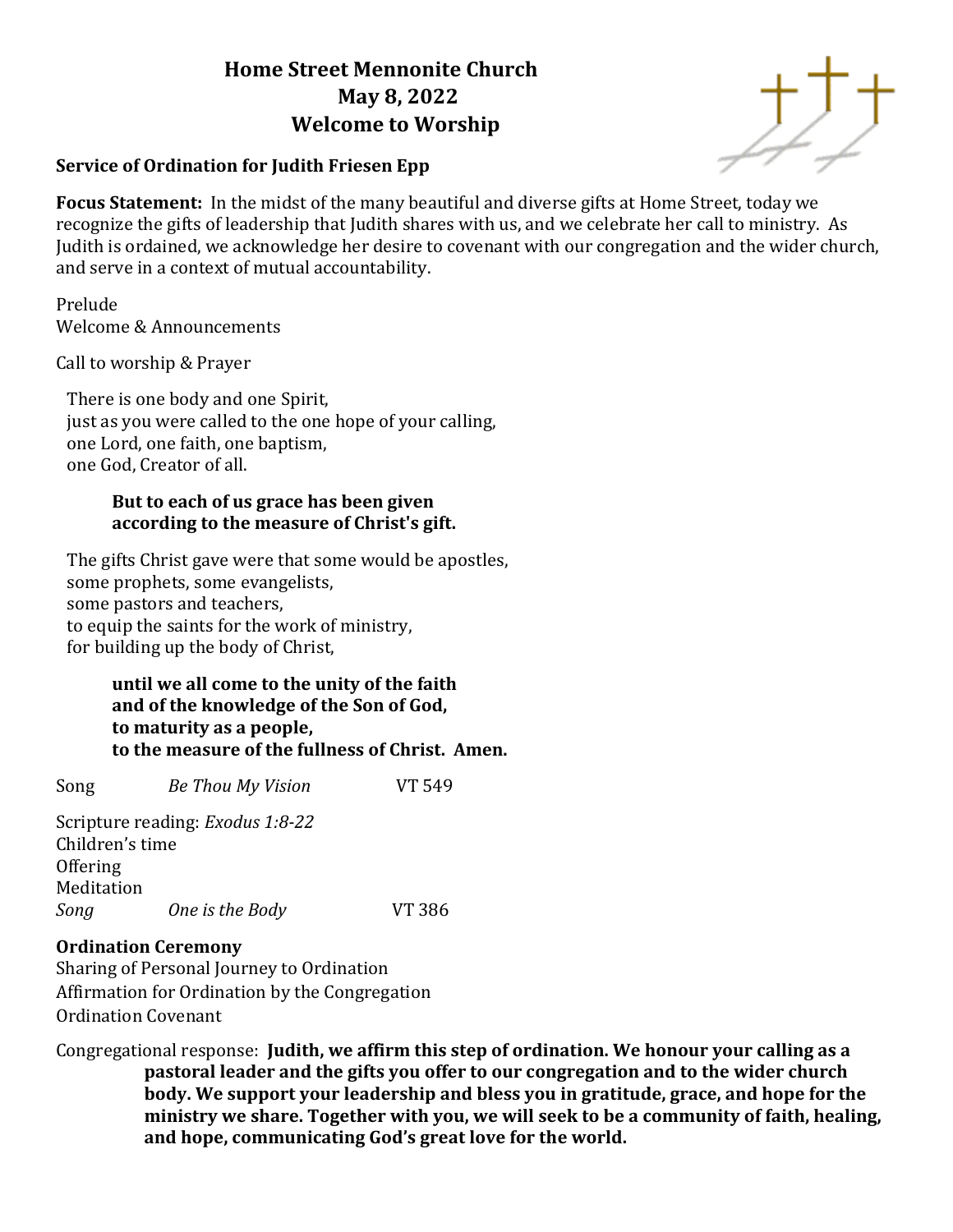# **Home Street Mennonite Church May 8, 2022 Welcome to Worship**





**Focus Statement:** In the midst of the many beautiful and diverse gifts at Home Street, today we recognize the gifts of leadership that Judith shares with us, and we celebrate her call to ministry. As Judith is ordained, we acknowledge her desire to covenant with our congregation and the wider church, and serve in a context of mutual accountability.

Prelude Welcome & Announcements

Call to worship & Prayer

There is one body and one Spirit, just as you were called to the one hope of your calling, one Lord, one faith, one baptism, one God, Creator of all.

### **But to each of us grace has been given according to the measure of Christ's gift.**

The gifts Christ gave were that some would be apostles, some prophets, some evangelists, some pastors and teachers, to equip the saints for the work of ministry, for building up the body of Christ,

### **until we all come to the unity of the faith and of the knowledge of the Son of God, to maturity as a people, to the measure of the fullness of Christ. Amen.**

Song *Be Thou My Vision* VT 549 Scripture reading: *Exodus 1:8-22* Children's time

Offering Meditation *Song One is the Body* VT 386

# **Ordination Ceremony**

Sharing of Personal Journey to Ordination Affirmation for Ordination by the Congregation Ordination Covenant

Congregational response: **Judith, we affirm this step of ordination. We honour your calling as a pastoral leader and the gifts you offer to our congregation and to the wider church body. We support your leadership and bless you in gratitude, grace, and hope for the ministry we share. Together with you, we will seek to be a community of faith, healing, and hope, communicating God's great love for the world.**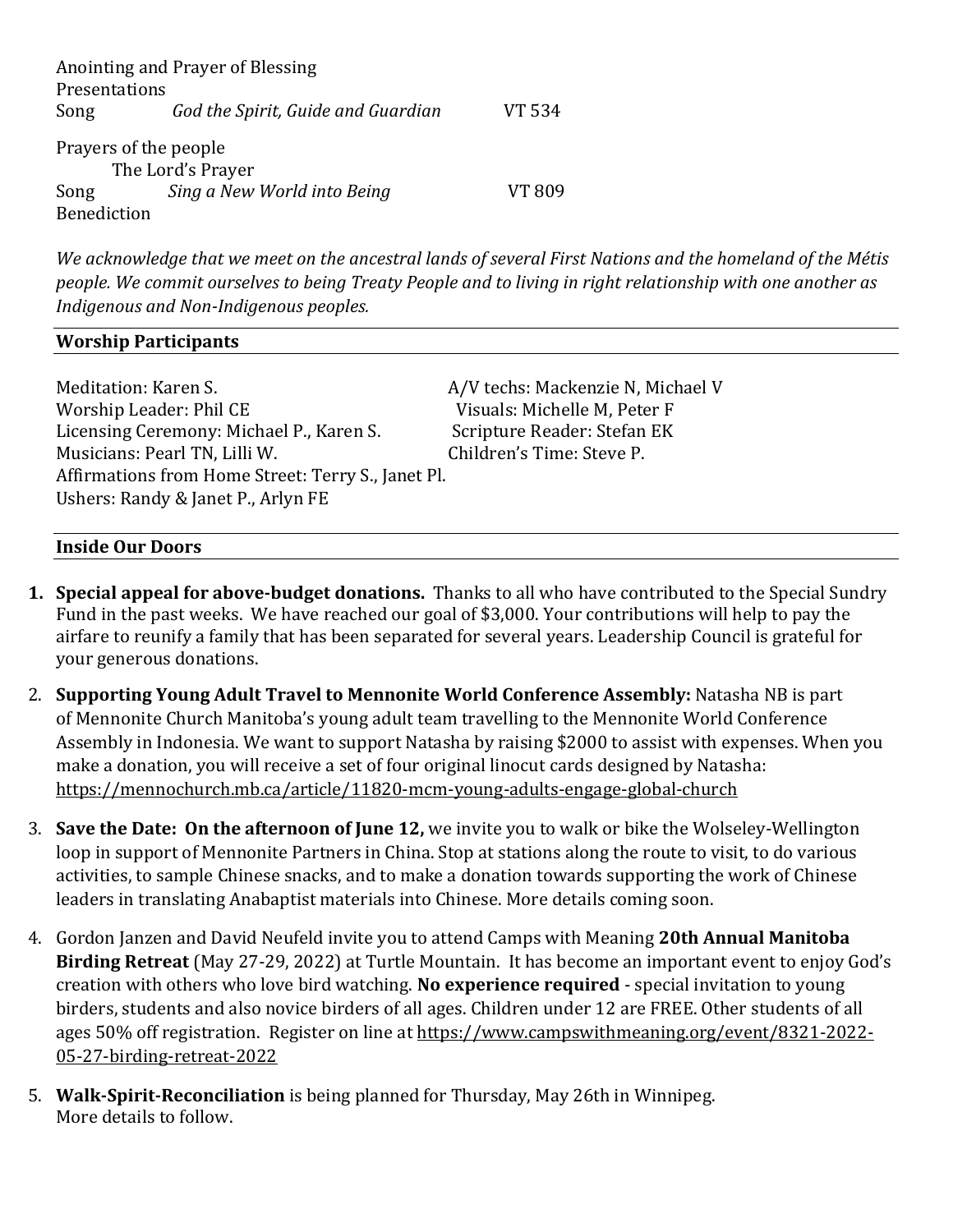|                       | Anointing and Prayer of Blessing   |               |  |  |
|-----------------------|------------------------------------|---------------|--|--|
| Presentations         |                                    |               |  |  |
| Song                  | God the Spirit, Guide and Guardian | VT 534        |  |  |
| Prayers of the people |                                    |               |  |  |
| The Lord's Prayer     |                                    |               |  |  |
| Song                  | Sing a New World into Being        | <b>VT 809</b> |  |  |
| Benediction           |                                    |               |  |  |

*We acknowledge that we meet on the ancestral lands of several First Nations and the homeland of the Métis people. We commit ourselves to being Treaty People and to living in right relationship with one another as Indigenous and Non-Indigenous peoples.* 

#### **Worship Participants**

Meditation: Karen S. A/V techs: Mackenzie N, Michael V Worship Leader: Phil CE **Visuals: Michelle M, Peter F** Licensing Ceremony: Michael P., Karen S. Scripture Reader: Stefan EK Musicians: Pearl TN, Lilli W. Children's Time: Steve P. Affirmations from Home Street: Terry S., Janet Pl. Ushers: Randy & Janet P., Arlyn FE

#### **Inside Our Doors**

- **1. Special appeal for above-budget donations.** Thanks to all who have contributed to the Special Sundry Fund in the past weeks. We have reached our goal of \$3,000. Your contributions will help to pay the airfare to reunify a family that has been separated for several years. Leadership Council is grateful for your generous donations.
- 2. **Supporting Young Adult Travel to Mennonite World Conference Assembly:** Natasha NB is part of Mennonite Church Manitoba's young adult team travelling to the Mennonite World Conference Assembly in Indonesia. We want to support Natasha by raising \$2000 to assist with expenses. When you make a donation, you will receive a set of four original linocut cards designed by Natasha: <https://mennochurch.mb.ca/article/11820-mcm-young-adults-engage-global-church>
- 3. **Save the Date: On the afternoon of June 12,** we invite you to walk or bike the Wolseley-Wellington loop in support of Mennonite Partners in China. Stop at stations along the route to visit, to do various activities, to sample Chinese snacks, and to make a donation towards supporting the work of Chinese leaders in translating Anabaptist materials into Chinese. More details coming soon.
- 4. Gordon Janzen and David Neufeld invite you to attend Camps with Meaning **20th Annual Manitoba Birding Retreat** (May 27-29, 2022) at Turtle Mountain. It has become an important event to enjoy God's creation with others who love bird watching. **No experience required** - special invitation to young birders, students and also novice birders of all ages. Children under 12 are FREE. Other students of all ages 50% off registration. Register on line at [https://www.campswithmeaning.org/event/8321-2022-](https://www.campswithmeaning.org/event/8321-2022-05-27-birding-retreat-2022) [05-27-birding-retreat-2022](https://www.campswithmeaning.org/event/8321-2022-05-27-birding-retreat-2022)
- 5. **Walk-Spirit-Reconciliation** is being planned for Thursday, May 26th in Winnipeg. More details to follow.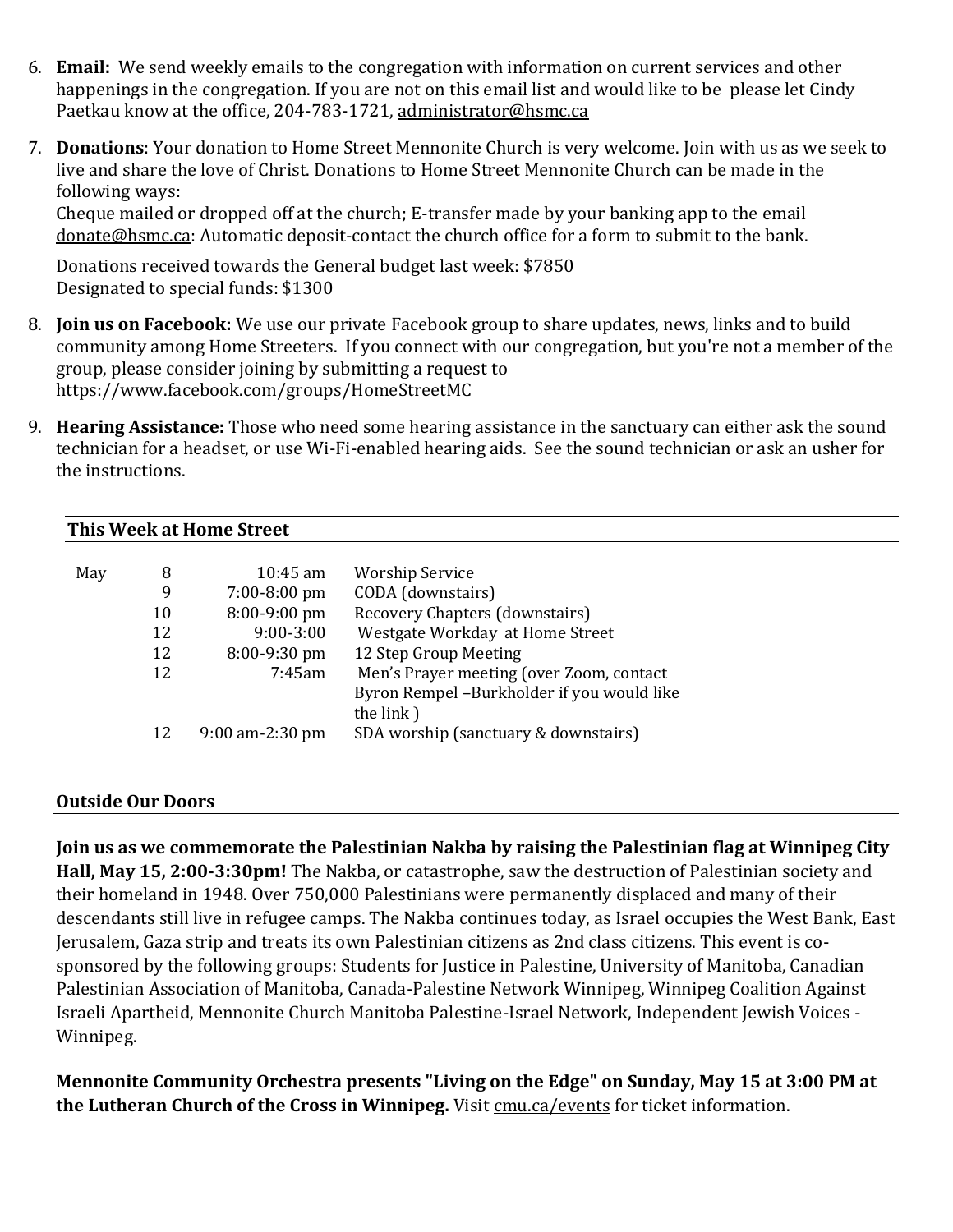- 6. **Email:** We send weekly emails to the congregation with information on current services and other happenings in the congregation. If you are not on this email list and would like to be please let Cindy Paetkau know at the office, 204-783-1721, [administrator@hsmc.ca](mailto:administrator@hsmc.ca)
- 7. **Donations**: Your donation to Home Street Mennonite Church is very welcome. Join with us as we seek to live and share the love of Christ. Donations to Home Street Mennonite Church can be made in the following ways:

Cheque mailed or dropped off at the church; E-transfer made by your banking app to the email [donate@hsmc.ca:](mailto:donate@hsmc.ca) Automatic deposit-contact the church office for a form to submit to the bank.

Donations received towards the General budget last week: \$7850 Designated to special funds: \$1300

- 8. **Join us on Facebook:** We use our private Facebook group to share updates, news, links and to build community among Home Streeters. If you connect with our congregation, but you're not a member of the group, please consider joining by submitting a request to <https://www.facebook.com/groups/HomeStreetMC>
- 9. **Hearing Assistance:** Those who need some hearing assistance in the sanctuary can either ask the sound technician for a headset, or use Wi-Fi-enabled hearing aids. See the sound technician or ask an usher for the instructions.

### **This Week at Home Street**

| May | 8  | $10:45$ am        | <b>Worship Service</b>                     |
|-----|----|-------------------|--------------------------------------------|
|     | 9  | $7:00-8:00$ pm    | CODA (downstairs)                          |
|     | 10 | $8:00-9:00$ pm    | Recovery Chapters (downstairs)             |
|     | 12 | $9:00-3:00$       | Westgate Workday at Home Street            |
|     | 12 | 8:00-9:30 pm      | 12 Step Group Meeting                      |
|     | 12 | 7:45am            | Men's Prayer meeting (over Zoom, contact   |
|     |    |                   | Byron Rempel -Burkholder if you would like |
|     |    |                   | the link)                                  |
|     | 12 | $9:00$ am-2:30 pm | SDA worship (sanctuary & downstairs)       |
|     |    |                   |                                            |

#### **Outside Our Doors**

**Join us as we commemorate the Palestinian Nakba by raising the Palestinian flag at Winnipeg City Hall, May 15, 2:00-3:30pm!** The Nakba, or catastrophe, saw the destruction of Palestinian society and their homeland in 1948. Over 750,000 Palestinians were permanently displaced and many of their descendants still live in refugee camps. The Nakba continues today, as Israel occupies the West Bank, East Jerusalem, Gaza strip and treats its own Palestinian citizens as 2nd class citizens. This event is cosponsored by the following groups: Students for Justice in Palestine, University of Manitoba, Canadian Palestinian Association of Manitoba, Canada-Palestine Network Winnipeg, Winnipeg Coalition Against Israeli Apartheid, Mennonite Church Manitoba Palestine-Israel Network, Independent Jewish Voices - Winnipeg.

**Mennonite Community Orchestra presents "Living on the Edge" on Sunday, May 15 at 3:00 PM at the Lutheran Church of the Cross in Winnipeg.** Visit [cmu.ca/events](http://cmu.ca/events) for ticket information.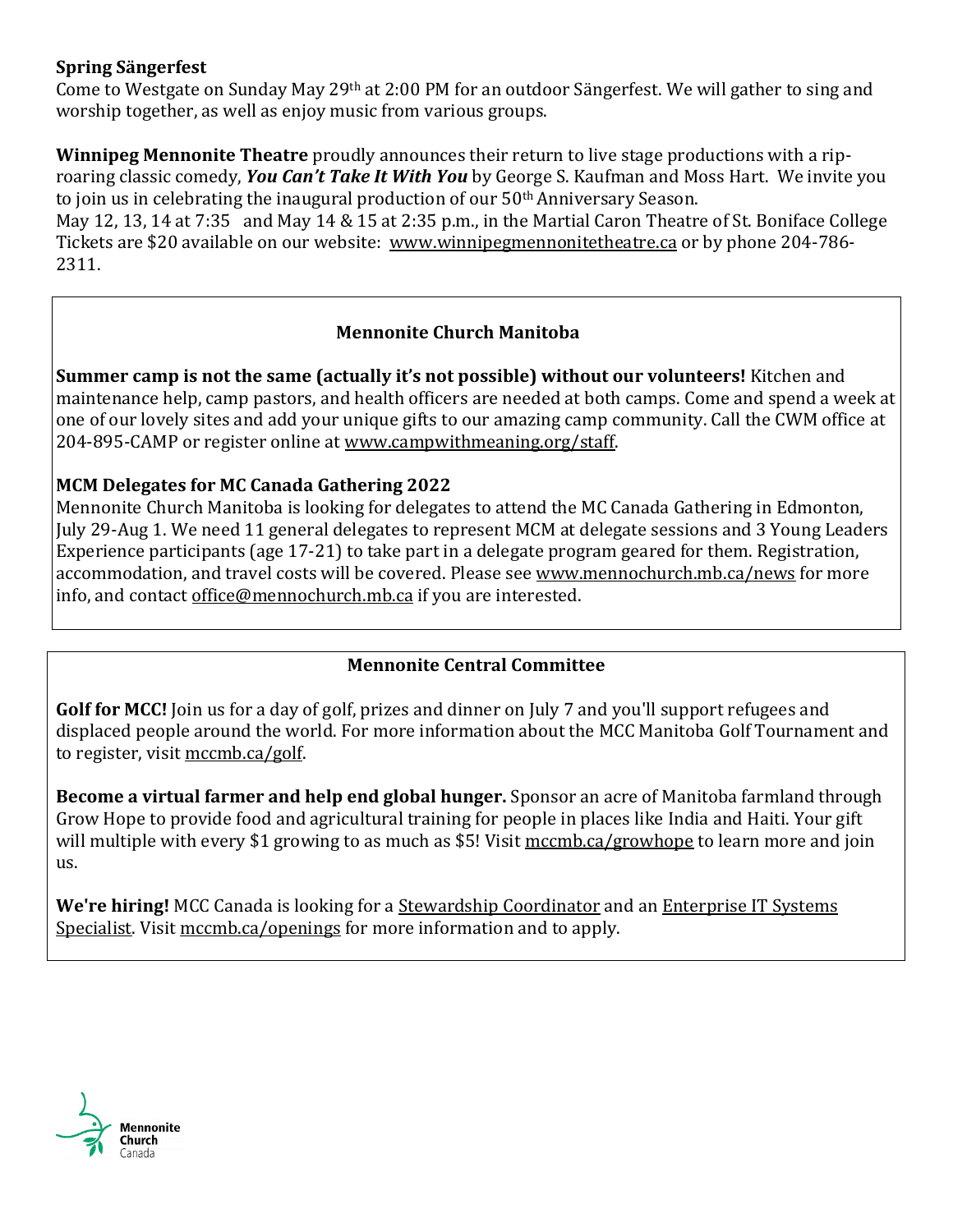### **Spring Sängerfest**

Come to Westgate on Sunday May 29th at 2:00 PM for an outdoor Sängerfest. We will gather to sing and worship together, as well as enjoy music from various groups.

**Winnipeg Mennonite Theatre** proudly announces their return to live stage productions with a riproaring classic comedy, *You Can't Take It With You* by George S. Kaufman and Moss Hart. We invite you to join us in celebrating the inaugural production of our 50<sup>th</sup> Anniversary Season.

May 12, 13, 14 at 7:35 and May 14 & 15 at 2:35 p.m., in the Martial Caron Theatre of St. Boniface College Tickets are \$20 available on our website: [www.winnipegmennonitetheatre.ca](http://www.winnipegmennonitetheatre.ca/) or by phone 204-786- 2311.

# **Mennonite Church Manitoba**

**Summer camp is not the same (actually it's not possible) without our volunteers!** Kitchen and maintenance help, camp pastors, and health officers are needed at both camps. Come and spend a week at one of our lovely sites and add your unique gifts to our amazing camp community. Call the CWM office at 204-895-CAMP or register online at [www.campwithmeaning.org/staff.](https://mennochurch.us17.list-manage.com/track/click?u=ad5b62cc11dbd51616d36b2e2&id=f9a6e3b004&e=e5164c07cf)

# **MCM Delegates for MC Canada Gathering 2022**

Mennonite Church Manitoba is looking for delegates to attend the MC Canada Gathering in Edmonton, July 29-Aug 1. We need 11 general delegates to represent MCM at delegate sessions and 3 Young Leaders Experience participants (age 17-21) to take part in a delegate program geared for them. Registration, accommodation, and travel costs will be covered. Please see [www.mennochurch.mb.ca/news](https://mennochurch.us17.list-manage.com/track/click?u=ad5b62cc11dbd51616d36b2e2&id=aab9059199&e=e5164c07cf) for more info, and contact [office@mennochurch.mb.ca](mailto:office@mennochurch.mb.ca) if you are interested.

# **Mennonite Central Committee**

**Golf for MCC!** Join us for a day of golf, prizes and dinner on July 7 and you'll support refugees and displaced people around the world. For more information about the MCC Manitoba Golf Tournament and to register, visit [mccmb.ca/golf.](https://mennonitecentralcommittee.cmail19.com/t/i-l-cuhliut-tjhliklilh-j/)

**Become a virtual farmer and help end global hunger.** Sponsor an acre of Manitoba farmland through Grow Hope to provide food and agricultural training for people in places like India and Haiti. Your gift will multiple with every \$1 growing to as much as \$5! Visit [mccmb.ca/growhope](https://mennonitecentralcommittee.cmail19.com/t/i-l-cuhliut-tjhliklilh-t/) to learn more and join us.

**We're hiring!** MCC Canada is looking for a [Stewardship Coordinator](https://mennonitecentralcommittee.cmail19.com/t/i-l-cuhliut-tjhliklilh-i/) and an [Enterprise IT Systems](https://mennonitecentralcommittee.cmail19.com/t/i-l-cuhliut-tjhliklilh-d/)  [Specialist.](https://mennonitecentralcommittee.cmail19.com/t/i-l-cuhliut-tjhliklilh-d/) Visit [mccmb.ca/openings](https://mennonitecentralcommittee.cmail19.com/t/i-l-cuhliut-tjhliklilh-h/) for more information and to apply.

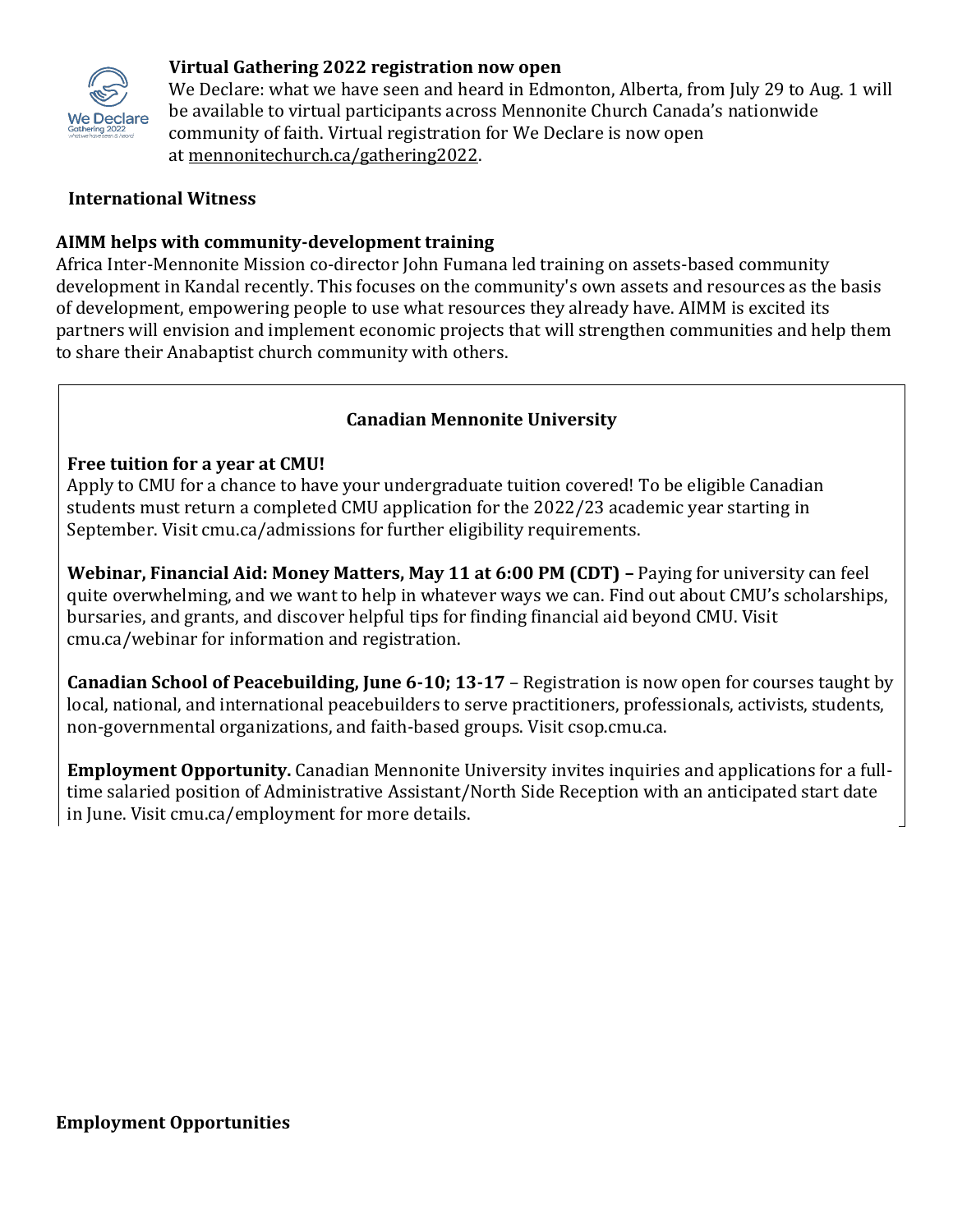

### **Virtual Gathering 2022 registration now open**

We Declare: what we have seen and heard in Edmonton, Alberta, from July 29 to Aug. 1 will be available to virtual participants across Mennonite Church Canada's nationwide community of faith. Virtual registration for We Declare is now open at [mennonitechurch.ca/gathering2022.](https://mennochurch.us17.list-manage.com/track/click?u=ad5b62cc11dbd51616d36b2e2&id=4225d0e201&e=e5164c07cf)

### **International Witness**

### **AIMM helps with community-development training**

Africa Inter-Mennonite Mission co-director John Fumana led training on assets-based community development in Kandal recently. This focuses on the community's own assets and resources as the basis of development, empowering people to use what resources they already have. AIMM is excited its partners will envision and implement economic projects that will strengthen communities and help them to share their Anabaptist church community with others.

### **Canadian Mennonite University**

### **Free tuition for a year at CMU!**

Apply to CMU for a chance to have your undergraduate tuition covered! To be eligible Canadian students must return a completed CMU application for the 2022/23 academic year starting in September. Visit cmu.ca/admissions for further eligibility requirements.

**Webinar, Financial Aid: Money Matters, May 11 at 6:00 PM (CDT) –** Paying for university can feel quite overwhelming, and we want to help in whatever ways we can. Find out about CMU's scholarships, bursaries, and grants, and discover helpful tips for finding financial aid beyond CMU. Visit cmu.ca/webinar for information and registration.

**Canadian School of Peacebuilding, June 6-10; 13-17** – Registration is now open for courses taught by local, national, and international peacebuilders to serve practitioners, professionals, activists, students, non-governmental organizations, and faith-based groups. Visit csop.cmu.ca.

**Employment Opportunity.** Canadian Mennonite University invites inquiries and applications for a fulltime salaried position of Administrative Assistant/North Side Reception with an anticipated start date in June. Visit cmu.ca/employment for more details.